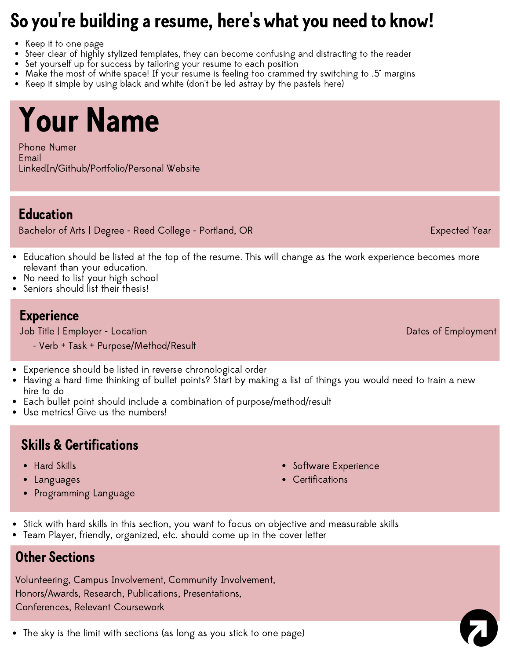#### So you ' re building a resume, here ''s what you need to know!

- Keep it to one page
- Steer clear of highly stylized templates, they can become confusing and distracting to the reader
- Set yourself up for success by tailoring your resume to each position
- Make the most of white space! If your resume is feeling too crammed try switching to .5" margins
- Keep it simple by using black and white (don't be led astray by the pastels here)

# Your Name

Phone Numer Email LinkedIn/Github/Portfolio/Personal Website

### Education

Bachelor of Arts | Degree - Reed College - Portland, OR Expected Year Expected Year

- Education should be listed at the top of the resume. This will change as the work experience becomes more relevant than your education.
- No need to list your high school
- Seniors should list their thesis!

### **Experience**

Job Title | Employer - Location Dates of Employment

- Verb + Task + Purpose/Method/Result
- Experience should be listed in reverse chronological order
- Having a hard time thinking of bullet points? Start by making a list of things you would need to train a new hire to do
- Each bullet point should include a combination of purpose/method/result
- Use metrics! Give us the numbers!

### Skills & Certifications

- Hard Skills
- Languages
- Programming Language
- Software Experience
- **Certifications**
- Stick with hard skills in this section, you want to focus on objective and measurable skills
- Team Player, friendly, organized, etc. should come up in the cover letter

### Other Sections

Volunteering, Campus Involvement, Community Involvement, Honors/Awards, Research, Publications, Presentations, Conferences, Relevant Coursework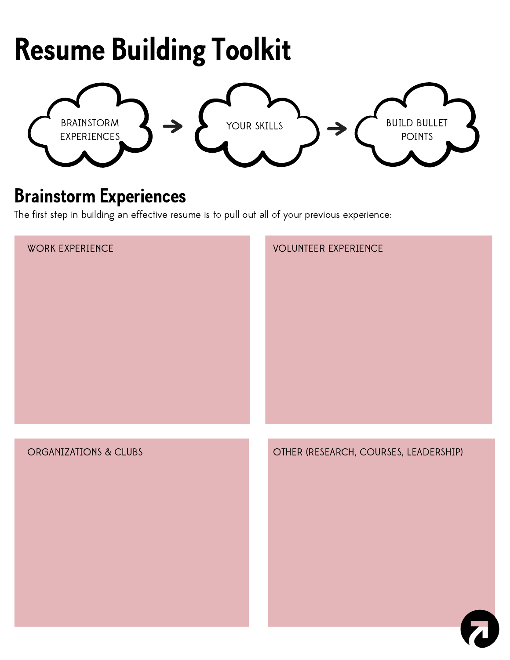## Resume Building Toolkit



### Brainstorm Experiences

The first step in building an effective resume is to pull out all of your previous experience:

| WORK EXPERIENCE       | <b>VOLUNTEER EXPERIENCE</b>           |
|-----------------------|---------------------------------------|
|                       |                                       |
| ORGANIZATIONS & CLUBS | OTHER (RESEARCH, COURSES, LEADERSHIP) |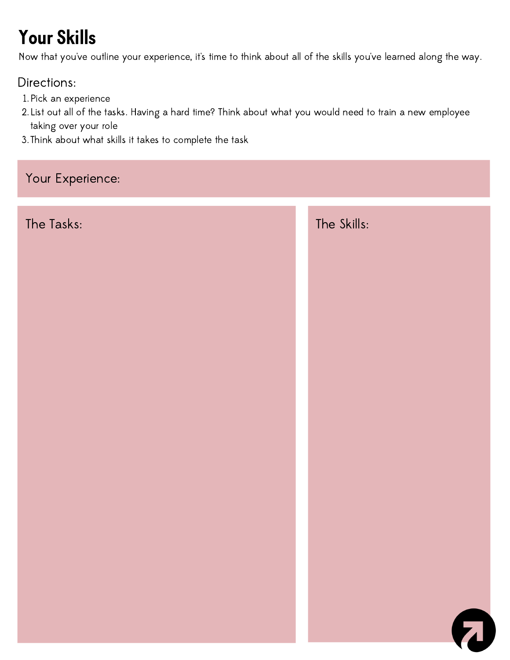## Your Skills

Now that you've outline your experience, it's time to think about all of the skills you've learned along the way.

### Directions:

- Pick an experience 1.
- List out all of the tasks. Having a hard time? Think about what you would need to train a new employee 2. taking over your role
- 3. Think about what skills it takes to complete the task

### Your Experience:

The Tasks: The Skills:

7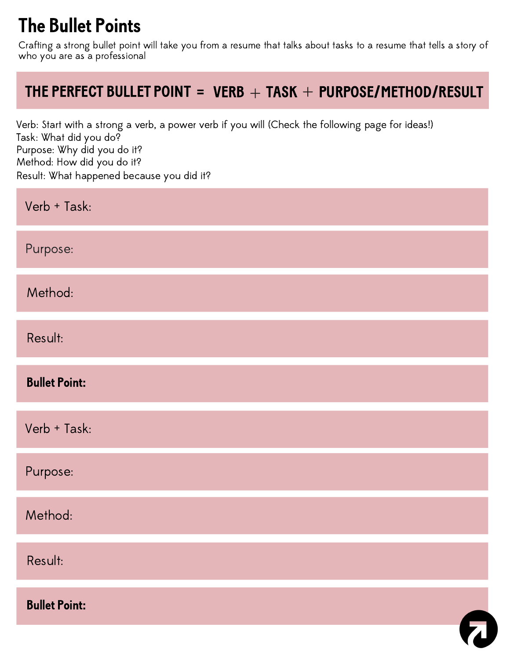### The Bullet Points

Crafting a strong bullet point will take you from a resume that talks about tasks to a resume that tells a story of who you are as a professional

### THE PERFECT BULLET POINT = VERB  $+$  TASK  $+$  PURPOSE/METHOD/RESULT

Verb: Start with a strong a verb, a power verb if you will (Check the following page for ideas!) Task: What did you do? Purpose: Why did you do it? Method: How did you do it? Result: What happened because you did it?

| Verb + Task:         |  |
|----------------------|--|
| Purpose:             |  |
| Method:              |  |
| Result:              |  |
| <b>Bullet Point:</b> |  |
| Verb + Task:         |  |
| Purpose:             |  |
| Method:              |  |
| Result:              |  |
| <b>Bullet Point:</b> |  |
|                      |  |